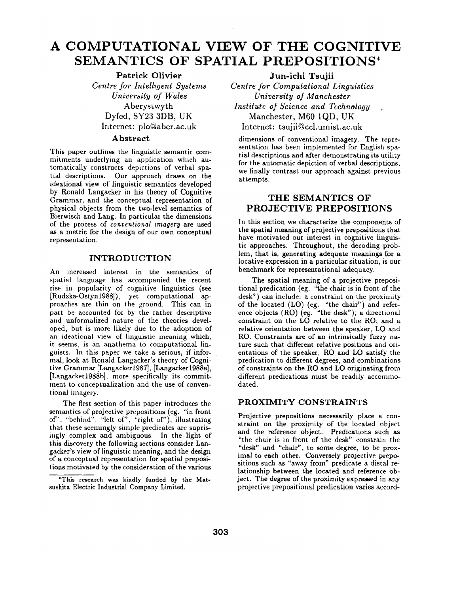# **A COMPUTATIONAL VIEW OF THE COGNITIVE SEMANTICS OF SPATIAL PREPOSITIONS\***

**Patrick** Olivier *Centre for Intelligent Systems University of Wales*  Aberystwyth **Dyfed, SY23 3DB, UK**  Internet: plo@aber.ac.uk

# Abstract

This paper outlines the linguistic semantic commitments underlying an application which automatically constructs depictions of verbal spatial descriptions. Our approach draws on the ideational view of linguistic semantics developed by Ronald Langacker in his theory of Cognitive Grammar, and the conceptual representation of physical objects from the two-level semantics of Bierwisch and Lang. In particular the dimensions of the process of *conventional imagery* are used as a metric for the design of our own conceptual representation.

## **INTRODUCTION**

An increased interest in the semantics of spatial language has accompanied the recent rise in popularity of cognitive linguistics (see [Rudzka-Ostyn1988]), yet computational approaches are thin on the ground. This can in part be accounted for by the rather descriptive and unformalized nature of the theories developed, but is more likely due to the adoption of an ideational view of linguistic meaning which, it seems, is an anathema to computational linguists. In this paper we take a serious, if informal, look at Ronald Langacker's theory of Cognitive Grammar [Langacker1987], [Langacker1988a], [Langacker1988b], more specifically its commitment to conceptualization and the use of conventional imagery.

The first section of this paper introduces the semantics of projective prepositions (eg. "in front of", "behind", "left of", "right of"), illustrating that these seemingly simple predicates are suprisingly complex and ambiguous. In the light of this discovery the following sections consider Langacker's view of linguistic meaning, and the design of a conceptual representation for spatial prepositions motivated by the consideration of the various

 $\bar{\omega}$ 

**Jun-ichi Tsujii**  *Centre for Computational Linguistics University of Manchester Institute of Science and Technology ,*  Manchester, M60 1QD, **UK**  Internet: tsujii@ccl.umist.ac.uk

dimensions of conventional imagery. The representation has been implemented for English spatial descriptions and after demonstrating its utility for the automatic depiction of verbal descriptions, we finally contrast our approach against previous at tempts.

# **THE SEMANTICS OF PROJECTIVE PREPOSITIONS**

In this section we characterize the components of the spatial meaning of projective prepositions that have motivated our interest in cognitive linguistic approaches. Throughout, the decoding problem, that is, generating adequate meanings for a locative expression in a particular situation, is our benchmark for representational adequacy.

The spatial meaning of a projective prepositional predication (eg. "the chair is in front of the desk") can include: a constraint on the proximity of the located (LO) (eg. "the chair") and reference objects (RO) (eg. "the desk"); a directional constraint on the LO relative to the RO; and a relative orientation between the speaker, LO and RO. Constraints are of an intrinsically fuzzy nature such that different relative positions and orientations of the speaker, RO and LO satisfy the predication to different degrees, and combinations of constraints on the RO and LO originating from different predications must be readily accommodated.

#### **PROXIMITY CONSTRAINTS**

Projective prepositions necessarily place a constraint on the proximity of the located object and the reference object. Predications such as "the chair is in front of the desk" constrain the "desk" and "chair", to some degree, to be proximal to each other. Conversely projective prepositions such as "away from" predicate a distal relationship between the located and reference object. The degree of the proximity expressed in any projective prepositional predication varies accord-

<sup>\*</sup>This research was kindly funded by the Mat**sushita** Electric Industrial Company Limited.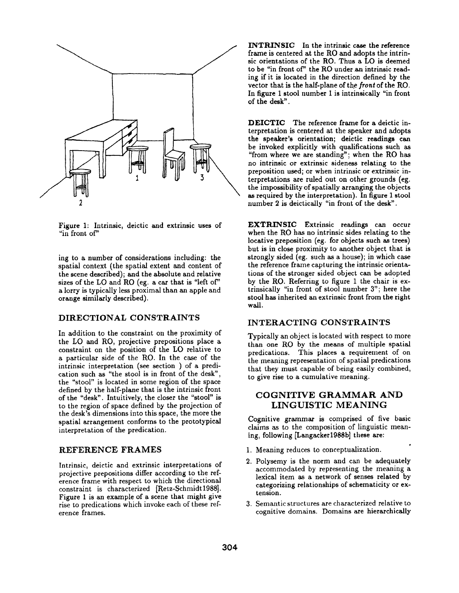

Figure 1: Intrinsic, deictic and extrinsic uses of "in front of"

ing to a number of considerations including: the spatial context (the spatial extent and content of the scene described); and the absolute and relative sizes of the LO and RO (eg. a car that is "left of" a lorry is typically less proximal than an apple and orange similarly described).

#### DIRECTIONAL CONSTRAINTS

In addition to the constraint on the proximity of the LO and RO, projective prepositions place a constraint on the position of the LO relative to a particular side of the RO. In the case of the intrinsic interpretation (see section ) of a predication such as "the stool is in front of the desk", the "stool" is located in some region of the space defined by the half-plane that is the intrinsic front of the "desk". Intuitively, the closer the "stool" is to the region of space defined by the projection of the desk's dimensions into this space, the more the spatial arrangement conforms to the prototypical interpretation of the predication.

### REFERENCE FRAMES

Intrinsic, deictic and extrinsic interpretations of projective prepositions differ according to the reference frame with respect to which the directional constraint is characterized [Retz-Schmidt1988]. Figure 1 is an example of a scene that might give rise to predications which invoke each of these reference frames.

INTRINSIC In the intrinsic case the reference frame is centered at the R0 and adopts the intrinsic orientations of the RO. Thus a LO is deemed to be "in front of" the RO under.an intrinsic reading if it is located in the direction defined by the vector that is the half-plane of the *front* of the R0. In figure 1 stool number I is intrinsically "in front of the desk".

DEICTIC The reference frame for a deictic interpretation is centered at the speaker and adopts the speaker's orientation; deictic readings can be invoked explicitly with qualifications such as "from where we are standing"; when the RO has no intrinsic or extrinsic sideness relating to the preposition used; or when intrinsic or extrinsic interpretations are ruled out on other grounds (eg. the impossibility of spatially arranging the objects as required by the interpretation). In figure 1 stool number 2 is deictically "in front of the desk".

EXTRINSIC Extrinsic readings can occur when the RO has no intrinsic sides relating to the locative preposition (eg. for objects such as trees) but is in close proximity to another object that is strongly sided (eg. such as a house); in which case the reference frame capturing the intrinsic orientations of the stronger sided object can be adopted by the RO. Referring to figure 1 the chair is extrinsically "in front of stool number 3"; here the stool has inherited an extrinsic front from the right wall.

## INTERACTING CONSTRAINTS

Typically an object is located with respect to more than one RO by the means of multiple spatial predications. This places a requirement of on the meaning representation of spatial predications that they must capable of being easily combined, to give rise to a cumulative meaning.

# COGNITIVE GRAMMAR AND LINGUISTIC MEANING

Cognitive grammar is comprised of five basic claims as to the composition of linguistic meaning, following [Langacker1988b] these are:

- 1. Meaning reduces to conceptualization.
- 2. Polysemy is the norm and can be adequately accommodated by representing the meaning a lexical item as a network of senses related by categorizing relationships of schematicity or extension.
- 3. Semantic structures are characterized relative to cognitive domains. Domains are hierarchically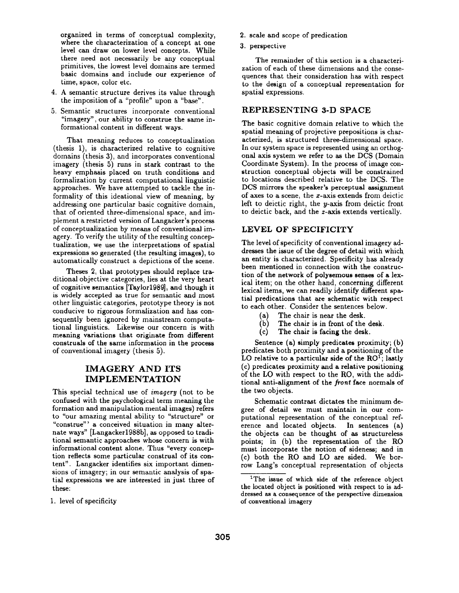organized in terms of conceptual complexity, where the characterization of a concept at one level can draw on lower level concepts. While there need not necessarily be any conceptual primitives, the lowest level domains are termed basic domains and include our experience of time, space, color etc.

- 4. A semantic structure derives its value through the imposition of a "profile" upon a "base".
- 5. Semantic structures incorporate conventional "imagery", our ability to construe the same informational content in different ways.

That meaning reduces to conceptualization (thesis 1), is characterized relative to cognitive domains (thesis 3), and incorporates conventional imagery (thesis 5) runs in stark contrast to the heavy emphasis placed on truth conditions and formalization by current computational linguistic approaches. We have attempted to tackle the informality of this ideational view of meaning, by addressing one particular basic cognitive domain, that of oriented three-dimensional space, and implement a restricted version of Langacker's process of conceptualization by means of conventional imagery. To verify the utility of the resulting conceptualization, we use the interpretations of spatial expressions so generated (the resulting images), to automatically construct a depictions of the scene.

Theses 2, that prototypes should replace traditional objective categories, lies at the very heart of cognitive semantics [Taylor1989], and though it is widely accepted as true for semantic and most other linguistic categories, prototype theory is not conducive to rigorous formalization and has consequently been ignored by mainstream computational linguistics. Likewise our concern is with meaning variations that originate from **different**  construals of the same information in the **process**  of conventional imagery (thesis 5).

# IMAGERY AND ITS IMPLEMENTATION

This special technical use of *imagery* (not to be confused with the psychological term meaning the formation and manipulation mental images) refers to "our amazing mental ability to "structure" or "construe"' a conceived situation in many alternate ways" [Langacker1988b], as opposed to traditional semantic approaches whose concern is with informational content alone. Thus "every conception reflects some particular construal of its content". Langacker identifies six important dimensions of imagery; in our semantic analysis of spatial expressions we are interested in just three of these:

1. level of specificity

- 2. scale and scope of predication
- 3. perspective

The remainder of this section is a characterization of each of these dimensions and the consequences that their consideration has with respect to the design of a conceptual representation for spatial expressions.

# REPRESENTING 3-D SPACE

The basic cognitive domain relative to which the spatial meaning of projective prepositions is characterized, is structured three-dimensional space. In our system space is represented using an orthogonal axis system we refer to as the DCS (Domain Coordinate System). In the process of image construction conceptual objects will be constrained to locations described relative to the DCS. The DCS mirrors the speaker's perceptual assignment of axes to a scene, the x-axis extends from deictic left to deictic right, the *u*-axis from deictic front to deictic back, and the z-axis extends vertically.

#### LEVEL OF SPECIFICITY

The level of specificity of conventional imagery addresses the issue of the degree of detail with which an entity is characterized. Specificity has already been mentioned in connection with the construction of the network of polysemous senses of a lexical item; on the other hand, concerning different lexical items, we can readily identify different spatial predications that are schematic with respect to each other. Consider the sentences below.

- (a) The chair is near the desk.
- (b) The chair is in front of the desk.
- (c) The chair is facing the desk.

Sentence (a) simply predicates proximity; (b) predicates both proximity and a positioning of the LO relative to a particular side of the  $RO<sup>T</sup>$ ; lastly (c) predicates proximity and a relative positioning of the LO with respect to the RO, with the additional anti-alignment of the front face normals of the two objects.

Schematic contrast dictates the minimum degree of detail we must maintain in our computational representation of the conceptual reference and located objects. In sentences (a) the objects can be thought of as structureless points; in (b) the representation of the RO must incorporate the notion of sideness; and in (c) both the RO and LO are sided. We borrow Lang's conceptual representation of objects

<sup>&</sup>lt;sup>1</sup>The issue of which side of the reference object the located object is positioned with respect to is addressed as a consequence of the perspective dimension **of** conventional imagery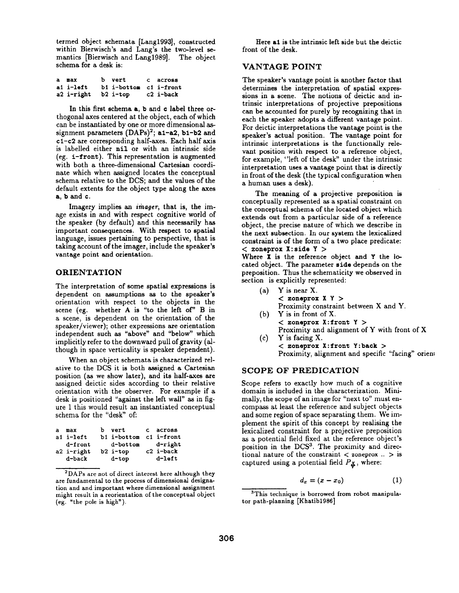termed object schemata [Lang1993], constructed within Bierwisch's and Lang's the two-level semantics [Bierwisch and Lang1989]. The object schema for a desk is:

| a max               | b vert                 | c across  |
|---------------------|------------------------|-----------|
| ai i-left           | bi i-bottom ci i-front |           |
| a2 i-right b2 i-top |                        | c2 i-back |

In this first schema a, b and c label three orthogonal axes centered at the object, each of which can be instantiated by one or more dimensional assignment parameters  $(DAPs)^2$ ; a1-a2, b1-b2 and c1-¢2 are corresponding half-axes. Each half axis is labelled either nil or with an intrinsic side (eg.  $i$ -front). This representation is augmented with both a three-dimensional Cartesian coordinate which when assigned locates the conceptual schema relative to the DCS; and the values of the default extents for the object type along the axes a, b and ¢.

Imagery implies an *imager,* that is, the image exists in and with respect cognitive world of the speaker (by default) and this necessarily has important consequences. With respect to spatial language, issues pertaining to perspective, that is taking account of the imager, include the speaker's vantage point and orientation.

#### ORIENTATION

The interpretation of some spatial expressions is dependent on assumptions as to the **speaker's**  orientation with respect to the objects in the scene (eg. whether A is "to the left of" B in a scene, is dependent on the orientation of the speaker/viewer); other expressions are orientation independent such as "above" and "below" which implicitly refer to the downward pull of gravity (although in space verticality is speaker dependent).

When an object schemata is characterized relative to the DCS it is both assigned a Cartesian position (as we show later), and its half-axes **are**  assigned deictic sides according to their relative orientation with the observer. For example if a desk is positioned "against the left wall" as in figure 1 this would result an instantiated conceptual schema for the "desk" of:

| $\mathbf{a}$ | max        | b vert                 | c across  |
|--------------|------------|------------------------|-----------|
|              | a1 i-left  | b1 i-bottom c1 i-front |           |
|              | d-front    | d-bottom               | d-right   |
|              | a2 i-right | b2 i-top               | c2 i-back |
|              | d-back     | $d$ -top               | d-left    |

<sup>2</sup>DAPs are not of direct interest here although they are fundamental to the process of dimensional designation and and important where dimensional assignment might result in a reorientation of the conceptual object (eg. "the pole is high").

Here al is the intrinsic left side but the deictic front of the desk.

# VANTAGE POINT

The speaker's vantage point is another factor that determines the interpretation of spatial expressions in a scene. The notions of deictic and intrinsic interpretations of projective prepositions can be accounted for purely by recognizing that in each the speaker adopts a different vantage point. For deictic interpretations the vantage point is the speaker's actual position. The vantage point for intrinsic interpretations is the functionally relevant position with respect to a reference object, for example, "left of the desk" under the intrinsic interpretation uses a vantage point that is directly in front of the desk (the typical configuration when a human uses a desk).

The meaning of a projective preposition is conceptually represented as a spatial constraint on the conceptual schema of the located object which extends out from a particular side of a reference object, the precise nature of which we describe in the next subsection. In our system the lexicalized constraint is of the form of a two place predicate: **< zoneprox X:sids Y >** 

#### Where X is the reference object and Y the located object. The parameter side depends on the preposition. Thus the schematicity we observed in section is explicitly represented:

- $(a)$  Y is near X. **< zonsprox X Y >**  Proximity constraint between X and Y. (b) Y is in front of X.
- **< zoneprox X: front Y >**  Proximity and alignment of Y with front of X (c) Y is facing X.

**< zoneprox X:fron~ Y:back >**  Proximity, alignment and specific "facing" orient

# SCOPE OF PREDICATION

Scope refers to exactly how much of a cognitive domain is included in the characterization. Minimally, the scope of an image for "next to" must encompass at least the reference and subject objects and some region of space separating them. We implement the spirit of this concept by realising the lexicalized constraint for a projective preposition as a potential field fixed at the reference object's position in the DCS<sup>3</sup>. The proximity and directional nature of the constraint  $\langle$  zoneprox  $\ldots$   $\rangle$  is captured using a potential field  $P_{\mathfrak{F}}$ , where:

$$
d_x = (x - x_0) \tag{1}
$$

<sup>&</sup>lt;sup>3</sup>This technique is borrowed from robot manipulator path-planning [Khatib1986]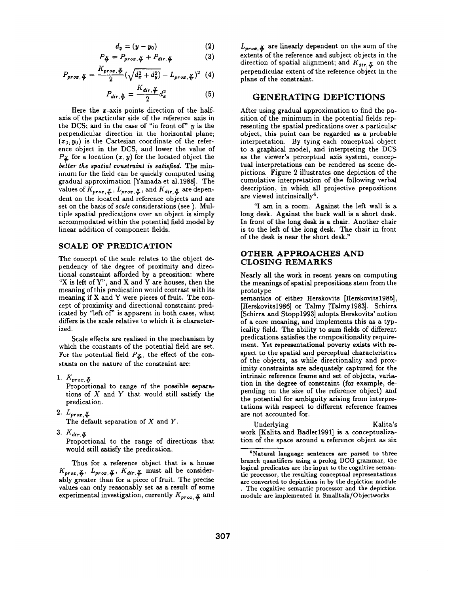$$
d_{y}=(y-y_{0})
$$
 (2)

$$
P_{\xi} = P_{prox, \xi} + P_{dir, \xi} \tag{3}
$$

$$
P_{prox, \frac{\mathbf{x}}{\mathbf{y}}} = \frac{K_{prox, \frac{\mathbf{x}}{\mathbf{y}}} }{2} (\sqrt{d_x^2 + d_y^2}) - L_{prox, \frac{\mathbf{x}}{\mathbf{y}}}^2
$$
 (4)

$$
P_{dir, \frac{\mathbf{x}}{\mathbf{y}}} = \frac{K_{dir, \frac{\mathbf{x}}{\mathbf{y}}} }{2} d_x^2 \tag{5}
$$

Here the x-axis points direction of the halfaxis of the particular side of the reference axis in the DCS; and in the case of "in front of"  $y$  is the perpendicular direction in the horizontal plane;  $(x_0, y_0)$  is the Cartesian coordinate of the reference object in the DCS, and lower the value of  $P_{\mathbf{\mathcal{L}}}$  for a location  $(x, y)$  for the located object the *better the spatial constraint is satisfied.* The minimum for the field can be quickly computed using gradual approximation [Yamada et al.1988]. The values of  $K_{\text{prox}}$ ,  $\mathcal{L}_{\text{prox}}$ ,  $\mathcal{L}_{\text{prox}}$ ,  $\mathcal{L}_{\text{max}}$  and  $K_{\text{dir}}$ ,  $\mathcal{L}_{\text{pre}}$  are dependent on the located and reference objects and are set on the basis of *scale* considerations (see). Multiple spatial predications over an object is simply accommodated within the potential field model by linear addition of component fields.

#### **SCALE** OF PREDICATION

The concept of the scale relates to the object dependency of the degree of proximity and directional constraint afforded by a preosition: where "X is left of  $Y$ ", and X and Y are houses, then the meaning of this predication would contrast with its meaning if X and Y were pieces of fruit. The concept of proximity and directional constraint predicated by "left of" is apparent in both cases, what differs is the scale relative to which it is characterized.

Scale effects are realised in the mechanism by which the constants of the potential field are set. For the potential field  $P_{\mathbf{\check{A}}}$ , the effect of the constants on the nature of the constraint are:

1.  $K_{prox, \phi}$ 

Proportional to range of the possible separations of  $X$  and  $Y$  that would still satisfy the predication.

 $2.~L_{prox, \frac{X}{Y}}$ 

The default separation of  $X$  and  $Y$ .

3.  $K_{dir, \frac{X}{Y}}$ 

Proportional to the range of directions that would still satisfy the predication.

Thus for a reference object that is a house  $K_{prox, \frac{X}{2}}$ ,  $L_{prox, \frac{X}{2}}$ ,  $K_{dir, \frac{X}{2}}$  must all be considerably greater than for a piece of fruit. The precise values can only reasonably set as a result of some experimental investigation, currently  $K_{prox, \phi}$  and  $L_{prox, \phi}$  are linearly dependent on the sum of the extents of the reference and subject objects in the direction of spatial alignment; and  $K_{dir, \mathcal{X}}$  on the perpendicular extent of the reference object in the plane of the constraint.

### **GENERATING DEPICTIONS**

After using gradual approximation to find the position of the minimum in the potential fields representing the spatial predications over a particular object, this point can be regarded as a probable interpretation. By tying each conceptual object to a graphical model, and interpreting the DCS as the viewer's perceptual axis system, conceptual interpretations can be rendered as scene depictions. Figure 2 illustrates one depiction of the cumulative interpretation of the following verbal description, in which all projective prepositions are viewed intrinsically<sup>4</sup>.

"I am in a room. Against the left wall is a long desk. Against the back wall is a short desk. In front of the long desk is a chair. Another chair is to the left of the long desk. The chair in front of the desk is near the short desk."

#### **OTHER APPROACHES AND**  CLOSING REMARKS

Nearly all the work in recent years on computing the meanings of spatial prepositions stem from the prototype

semantics of either Herskovits [Herskovits1985], [Herskovits1986] or Talmy [Talmy1983]. Schirra [Schirra and Stopp1993] adopts Herskovits' notion of a core meaning, and implements this as a typicality field. The ability to sum fields of different predications satisfies the compositionality requirement. Yet representational poverty exists with respect to the spatial and perceptual characteristics of the objects, as while directionality and proximity constraints are adequately captured for **the**  intrinsic reference frame and set of objects, variation in the degree of constraint (for example, depending on the size of the reference object) and the potential for ambiguity arising from interpretations with respect to different reference frames are not accounted for.

Underlying Kalita's work [Kalita and Badler1991] is a conceptualization of the space around a reference object as six

<sup>4</sup>Natural language **sentences are parsed to three**  branch quantifiers using a prolog DCG grammar, the logical predicates are the input to the cognitive semantic processor, the resulting conceptual representations **are converted to** depictions in by the depiction module . The cognitive semantic processor and the depiction module are implemented in Smalltalk/Objectworks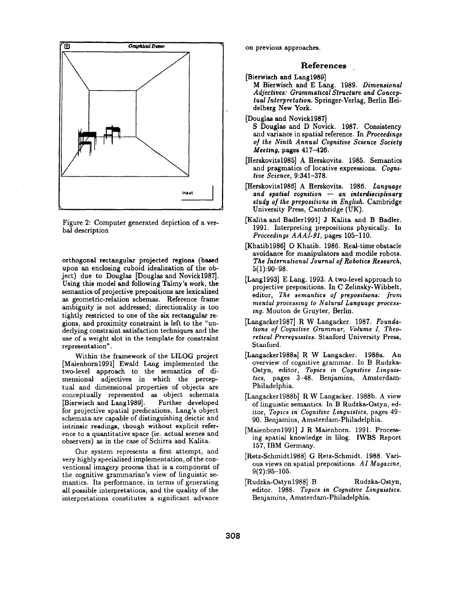

Figure 2: Computer generated depiction'of a verbal description

orthogonal rectangular projected regions (based upon an enclosing cuboid idealization of the object) due to Douglas [Douglas and Novick1987]. Using this model and following Talmy's work, **the**  semantics of projective prepositions are lexicalized as geometric-relation schemas. Reference frame ambiguity is not addressed; directionality is too tightly restricted to one of the six rectangular regions, and proximity constraint is left to the "underlying constraint satisfaction techniques and the use of a weight slot in the template for constraint representation".

Within the framework of the LILOG project [Maienborn1991] Ewald Lang implemented the two-level approach to the semantics of dimensional adjectives in which the perceptual and dimensional properties of objects are conceptually represented as object schemata [Bierwisch and Lang1989]. Further developed for projective spatial predications, Lang's object schemata are capable of distinguishing deictic and intrinsic readings, though without explicit reference to a quantitative space (ie. actual scenes and observers) as in the case of Schirra and Kalita.

Our system represents a first attempt, and very highly specialized implementation, of the conventional imagery process that is a component of the cognitive grammarian's view of linguistic semantics. Its performance, in terms of generating all possible interpretations, and the quality of the interpretations constitutes a significant advance

on previous approaches.

# **References '**

- [Bierwisch and Lang1989]
	- M Bierwisch and E Lang. 1989. *Dimensional Adjectives: Grammatical Structure and Conceptual Interpretation.* Springer-Verlag, Berlin Heidelberg New York.
- [Douglas and Novick1987]
	- S Douglas and D Novick. 1987. Consistency and variance in spatial reference. In *Proceedings of the Ninth Annual Cognitive Science Society Meeting,* pages 417-426.
- [Herskovits1985] A Herskovits. 1985. Semantics and pragmatics of locative expressions. *Cognitive Science,* 9:341-378.
- [Herskovits1986] A Herskovits. 1986. *Language and spatial cognition -- an interdisciplinary study of the prepositions in English.* Cambridge University Press, Cambridge (UK).
- [Kalita and Badler1991] J Kalita and B Badler. 1991. Interpreting prepositions physically. In *Proceedings AAAI-91,* pages 105-110.
- [Khatib1986] O Khatib. 1986. Real-time obstacle avoidance for manipulators and modile robots. *The International Journal of Robotics Research,*   $5(1):90-98.$
- [Lang1993] E Lang. 1993. A two-level approach to projective prepositions. In C Zelinsky-Wibbelt, editor, *The semantics of prepositions: from mental processing to Natural Language processing.* Mouton de Gruyter, Berlin.
- [Langacker1987] R W Langacker. 1987. *Foundations of Cognitive Grammar, Volume I, Theoretical Prerequisites.* Stanford University Press, Stanford.
- [Langacker1988a] R W Langacker. 1988a. An overview of cognitive grammar. In B Rudzka-Ostyn, editor, *Topics in Cognitive Linguistics,* pages 3-48. Benjamins, Amsterdam-Philadelphia.
- [Langacker1988b] R W Langacker. 1988b. A view of linguistic semantics. In B Rudzka-Ostyn, editor, *Topics in Cognitive Linguistics,* pages 49- 90. Benjamins, Amsterdam-Philadelphia.
- [Maienborn1991] J R Maienborn. 1991. Processing spatial knowledge in lilog. IWBS Report 157, IBM Germany.
- [Retz-Schmidt1988] G Retz-Schmidt. 1988. Various views on spatial prepositions. *AI Magazine,*  9(2):95-105.
- [Rudzka-Ostyn1988] B Rudzka-Ostyn, editor. 1988. *Topics in Cognitive Linguistics.*  Benjamins, Amsterdam-Philadelphia.